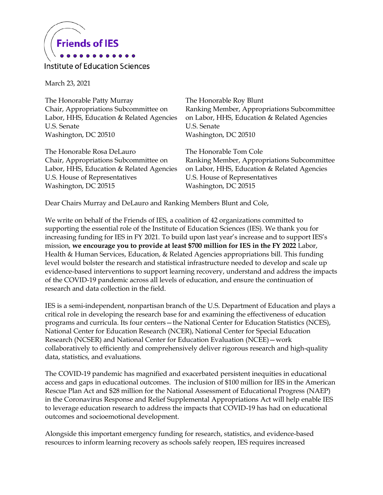

Institute of Education Sciences

March 23, 2021

The Honorable Patty Murray Chair, Appropriations Subcommittee on Labor, HHS, Education & Related Agencies U.S. Senate Washington, DC 20510

The Honorable Rosa DeLauro Chair, Appropriations Subcommittee on Labor, HHS, Education & Related Agencies U.S. House of Representatives Washington, DC 20515

The Honorable Roy Blunt Ranking Member, Appropriations Subcommittee on Labor, HHS, Education & Related Agencies U.S. Senate Washington, DC 20510

The Honorable Tom Cole Ranking Member, Appropriations Subcommittee on Labor, HHS, Education & Related Agencies U.S. House of Representatives Washington, DC 20515

Dear Chairs Murray and DeLauro and Ranking Members Blunt and Cole,

We write on behalf of the Friends of IES, a coalition of 42 organizations committed to supporting the essential role of the Institute of Education Sciences (IES). We thank you for increasing funding for IES in FY 2021. To build upon last year's increase and to support IES's mission, **we encourage you to provide at least \$700 million for IES in the FY 2022** Labor, Health & Human Services, Education, & Related Agencies appropriations bill. This funding level would bolster the research and statistical infrastructure needed to develop and scale up evidence-based interventions to support learning recovery, understand and address the impacts of the COVID-19 pandemic across all levels of education, and ensure the continuation of research and data collection in the field.

IES is a semi-independent, nonpartisan branch of the U.S. Department of Education and plays a critical role in developing the research base for and examining the effectiveness of education programs and curricula. Its four centers—the National Center for Education Statistics (NCES), National Center for Education Research (NCER), National Center for Special Education Research (NCSER) and National Center for Education Evaluation (NCEE)—work collaboratively to efficiently and comprehensively deliver rigorous research and high-quality data, statistics, and evaluations.

The COVID-19 pandemic has magnified and exacerbated persistent inequities in educational access and gaps in educational outcomes. The inclusion of \$100 million for IES in the American Rescue Plan Act and \$28 million for the National Assessment of Educational Progress (NAEP) in the Coronavirus Response and Relief Supplemental Appropriations Act will help enable IES to leverage education research to address the impacts that COVID-19 has had on educational outcomes and socioemotional development.

Alongside this important emergency funding for research, statistics, and evidence-based resources to inform learning recovery as schools safely reopen, IES requires increased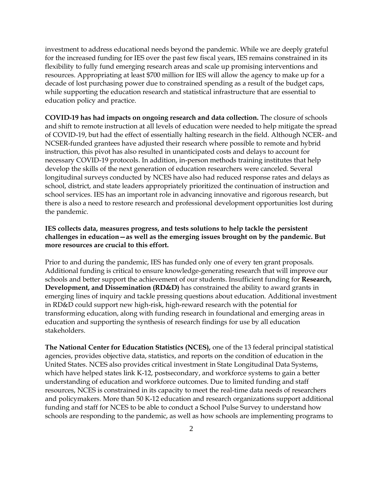investment to address educational needs beyond the pandemic. While we are deeply grateful for the increased funding for IES over the past few fiscal years, IES remains constrained in its flexibility to fully fund emerging research areas and scale up promising interventions and resources. Appropriating at least \$700 million for IES will allow the agency to make up for a decade of lost purchasing power due to constrained spending as a result of the budget caps, while supporting the education research and statistical infrastructure that are essential to education policy and practice.

**COVID-19 has had impacts on ongoing research and data collection.** The closure of schools and shift to remote instruction at all levels of education were needed to help mitigate the spread of COVID-19, but had the effect of essentially halting research in the field. Although NCER- and NCSER-funded grantees have adjusted their research where possible to remote and hybrid instruction, this pivot has also resulted in unanticipated costs and delays to account for necessary COVID-19 protocols. In addition, in-person methods training institutes that help develop the skills of the next generation of education researchers were canceled. Several longitudinal surveys conducted by NCES have also had reduced response rates and delays as school, district, and state leaders appropriately prioritized the continuation of instruction and school services. IES has an important role in advancing innovative and rigorous research, but there is also a need to restore research and professional development opportunities lost during the pandemic.

## **IES collects data, measures progress, and tests solutions to help tackle the persistent challenges in education—as well as the emerging issues brought on by the pandemic. But more resources are crucial to this effort.**

Prior to and during the pandemic, IES has funded only one of every ten grant proposals. Additional funding is critical to ensure knowledge-generating research that will improve our schools and better support the achievement of our students. Insufficient funding for **Research, Development, and Dissemination (RD&D)** has constrained the ability to award grants in emerging lines of inquiry and tackle pressing questions about education. Additional investment in RD&D could support new high-risk, high-reward research with the potential for transforming education, along with funding research in foundational and emerging areas in education and supporting the synthesis of research findings for use by all education stakeholders.

**The National Center for Education Statistics (NCES),** one of the 13 federal principal statistical agencies, provides objective data, statistics, and reports on the condition of education in the United States. NCES also provides critical investment in State Longitudinal Data Systems, which have helped states link K-12, postsecondary, and workforce systems to gain a better understanding of education and workforce outcomes. Due to limited funding and staff resources, NCES is constrained in its capacity to meet the real-time data needs of researchers and policymakers. More than 50 K-12 education and research organizations support additional funding and staff for NCES to be able to conduct a School Pulse Survey to understand how schools are responding to the pandemic, as well as how schools are implementing programs to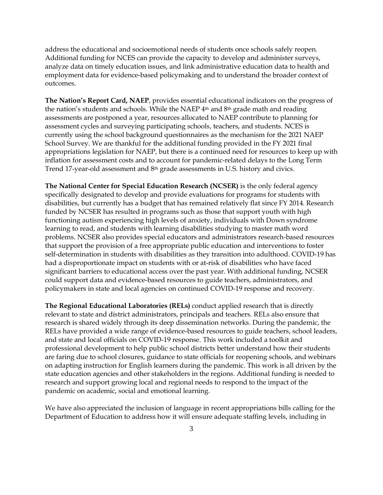address the educational and socioemotional needs of students once schools safely reopen. Additional funding for NCES can provide the capacity to develop and administer surveys, analyze data on timely education issues, and link administrative education data to health and employment data for evidence-based policymaking and to understand the broader context of outcomes.

**The Nation's Report Card, NAEP**, provides essential educational indicators on the progress of the nation's students and schools. While the NAEP  $4<sup>th</sup>$  and  $8<sup>th</sup>$  grade math and reading assessments are postponed a year, resources allocated to NAEP contribute to planning for assessment cycles and surveying participating schools, teachers, and students. NCES is currently using the school background questionnaires as the mechanism for the 2021 NAEP School Survey. We are thankful for the additional funding provided in the FY 2021 final appropriations legislation for NAEP, but there is a continued need for resources to keep up with inflation for assessment costs and to account for pandemic-related delays to the Long Term Trend 17-year-old assessment and 8th grade assessments in U.S. history and civics.

**The National Center for Special Education Research (NCSER)** is the only federal agency specifically designated to develop and provide evaluations for programs for students with disabilities, but currently has a budget that has remained relatively flat since FY 2014. Research funded by NCSER has resulted in programs such as those that support youth with high functioning autism experiencing high levels of anxiety, individuals with Down syndrome learning to read, and students with learning disabilities studying to master math word problems. NCSER also provides special educators and administrators research-based resources that support the provision of a free appropriate public education and interventions to foster self-determination in students with disabilities as they transition into adulthood. COVID-19 has had a disproportionate impact on students with or at-risk of disabilities who have faced significant barriers to educational access over the past year. With additional funding, NCSER could support data and evidence-based resources to guide teachers, administrators, and policymakers in state and local agencies on continued COVID-19 response and recovery.

**The Regional Educational Laboratories (RELs)** conduct applied research that is directly relevant to state and district administrators, principals and teachers. RELs also ensure that research is shared widely through its deep dissemination networks. During the pandemic, the RELs have provided a wide range of evidence-based resources to guide teachers, school leaders, and state and local officials on COVID-19 response. This work included a toolkit and professional development to help public school districts better understand how their students are faring due to school closures, guidance to state officials for reopening schools, and webinars on adapting instruction for English learners during the pandemic. This work is all driven by the state education agencies and other stakeholders in the regions. Additional funding is needed to research and support growing local and regional needs to respond to the impact of the pandemic on academic, social and emotional learning.

We have also appreciated the inclusion of language in recent appropriations bills calling for the Department of Education to address how it will ensure adequate staffing levels, including in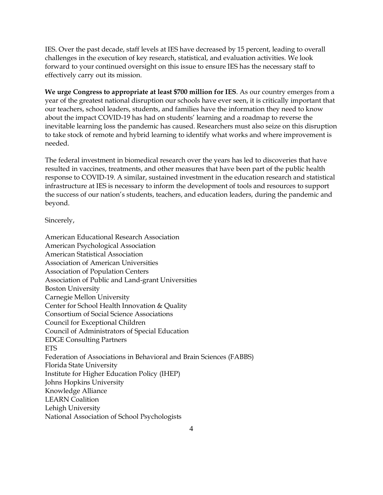IES. Over the past decade, staff levels at IES have decreased by 15 percent, leading to overall challenges in the execution of key research, statistical, and evaluation activities. We look forward to your continued oversight on this issue to ensure IES has the necessary staff to effectively carry out its mission.

**We urge Congress to appropriate at least \$700 million for IES**. As our country emerges from a year of the greatest national disruption our schools have ever seen, it is critically important that our teachers, school leaders, students, and families have the information they need to know about the impact COVID-19 has had on students' learning and a roadmap to reverse the inevitable learning loss the pandemic has caused. Researchers must also seize on this disruption to take stock of remote and hybrid learning to identify what works and where improvement is needed.

The federal investment in biomedical research over the years has led to discoveries that have resulted in vaccines, treatments, and other measures that have been part of the public health response to COVID-19. A similar, sustained investment in the education research and statistical infrastructure at IES is necessary to inform the development of tools and resources to support the success of our nation's students, teachers, and education leaders, during the pandemic and beyond.

Sincerely,

American Educational Research Association American Psychological Association American Statistical Association Association of American Universities Association of Population Centers Association of Public and Land-grant Universities Boston University Carnegie Mellon University Center for School Health Innovation & Quality Consortium of Social Science Associations Council for Exceptional Children Council of Administrators of Special Education EDGE Consulting Partners ETS Federation of Associations in Behavioral and Brain Sciences (FABBS) Florida State University Institute for Higher Education Policy (IHEP) Johns Hopkins University Knowledge Alliance LEARN Coalition Lehigh University National Association of School Psychologists